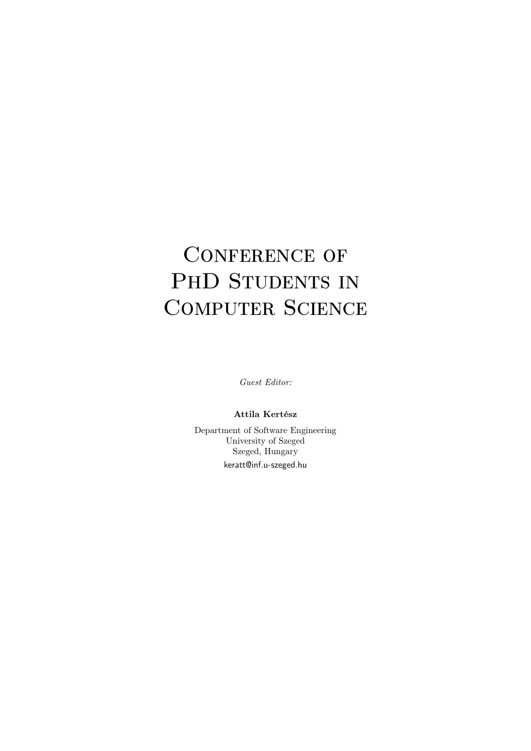## CONFERENCE OF PHD STUDENTS IN COMPUTER SCIENCE

Guest Editor:

Attila Kertész

Department of Software Engineering University of Szeged Szeged, Hungary keratt@inf.u-szeged.hu